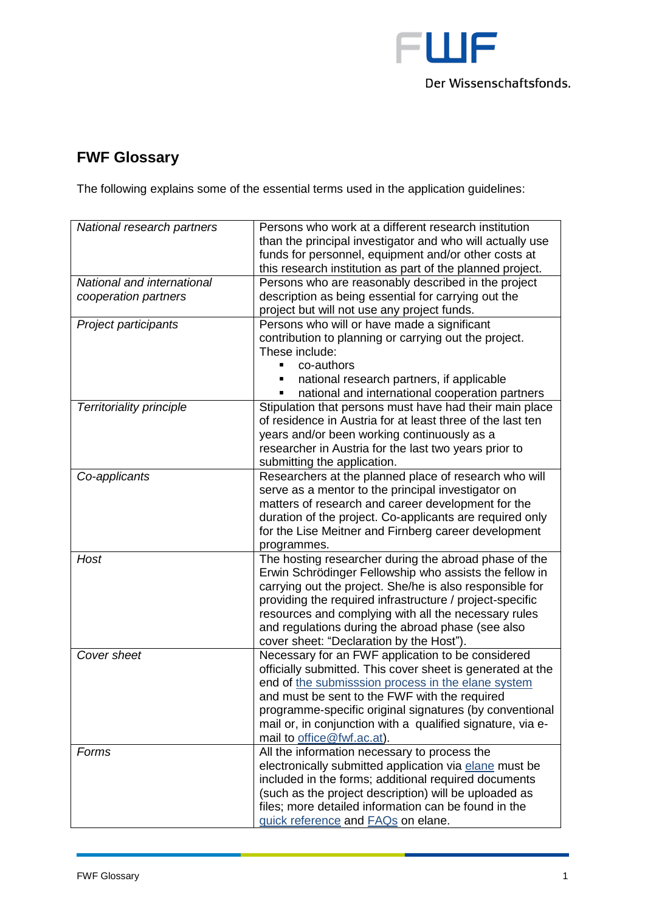

## **FWF Glossary**

The following explains some of the essential terms used in the application guidelines:

| National research partners      | Persons who work at a different research institution       |
|---------------------------------|------------------------------------------------------------|
|                                 | than the principal investigator and who will actually use  |
|                                 | funds for personnel, equipment and/or other costs at       |
|                                 | this research institution as part of the planned project.  |
| National and international      | Persons who are reasonably described in the project        |
| cooperation partners            | description as being essential for carrying out the        |
|                                 | project but will not use any project funds.                |
| Project participants            | Persons who will or have made a significant                |
|                                 | contribution to planning or carrying out the project.      |
|                                 | These include:                                             |
|                                 | co-authors                                                 |
|                                 | national research partners, if applicable                  |
|                                 | national and international cooperation partners            |
| <b>Territoriality principle</b> | Stipulation that persons must have had their main place    |
|                                 | of residence in Austria for at least three of the last ten |
|                                 | years and/or been working continuously as a                |
|                                 | researcher in Austria for the last two years prior to      |
|                                 | submitting the application.                                |
| Co-applicants                   | Researchers at the planned place of research who will      |
|                                 | serve as a mentor to the principal investigator on         |
|                                 | matters of research and career development for the         |
|                                 | duration of the project. Co-applicants are required only   |
|                                 | for the Lise Meitner and Firnberg career development       |
|                                 | programmes.                                                |
| Host                            | The hosting researcher during the abroad phase of the      |
|                                 | Erwin Schrödinger Fellowship who assists the fellow in     |
|                                 | carrying out the project. She/he is also responsible for   |
|                                 | providing the required infrastructure / project-specific   |
|                                 | resources and complying with all the necessary rules       |
|                                 | and regulations during the abroad phase (see also          |
|                                 | cover sheet: "Declaration by the Host").                   |
| Cover sheet                     | Necessary for an FWF application to be considered          |
|                                 | officially submitted. This cover sheet is generated at the |
|                                 | end of the submisssion process in the elane system         |
|                                 | and must be sent to the FWF with the required              |
|                                 | programme-specific original signatures (by conventional    |
|                                 | mail or, in conjunction with a qualified signature, via e- |
|                                 | mail to office@fwf.ac.at).                                 |
| Forms                           | All the information necessary to process the               |
|                                 | electronically submitted application via elane must be     |
|                                 | included in the forms; additional required documents       |
|                                 | (such as the project description) will be uploaded as      |
|                                 | files; more detailed information can be found in the       |
|                                 |                                                            |
|                                 | quick reference and FAQs on elane.                         |